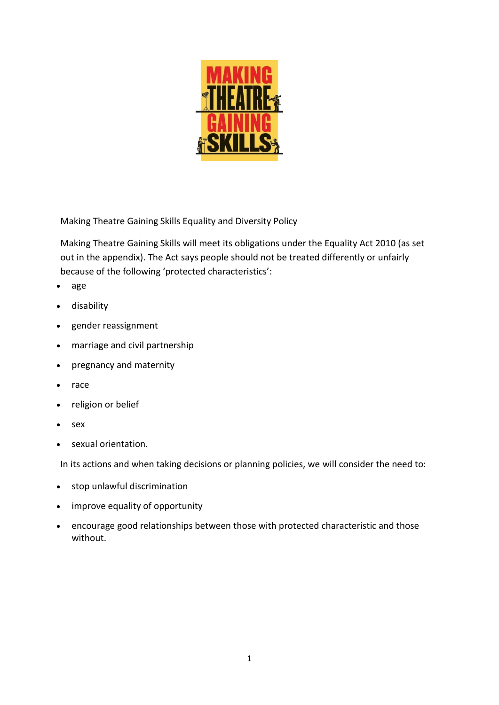

Making Theatre Gaining Skills Equality and Diversity Policy

Making Theatre Gaining Skills will meet its obligations under the [Equality](https://www.gov.uk/guidance/equality-act-2010-guidance) Act 2010 (as set out in the [appendix\)](http://www.legislation.gov.uk/ukpga/2010/15/section/149). The Act says people should not be treated differently or unfairly because of the following 'protected characteristics':

- age
- disability
- gender reassignment
- marriage and civil partnership
- pregnancy and maternity
- race
- religion or belief
- sex
- sexual orientation.

In its actions and when taking decisions or planning policies, we will consider the need to:

- stop unlawful discrimination
- improve equality of opportunity
- encourage good relationships between those with protected characteristic and those without.